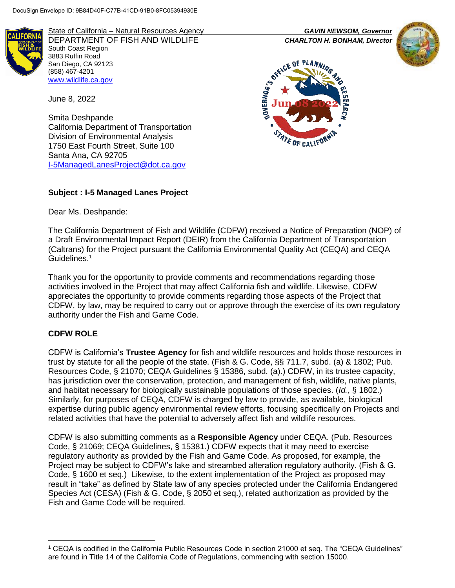

State of California – Natural Resources Agency *GAVIN NEWSOM, Governor* DEPARTMENT OF FISH AND WILDLIFE *CHARLTON H. BONHAM, Director*  South Coast Region 3883 Ruffin Road San Diego, CA 92123 (858) 467-4201 [www.wildlife.ca.gov](http://www.wildlife.ca.gov/)

June 8, 2022

Smita Deshpande California Department of Transportation Division of Environmental Analysis 1750 East Fourth Street, Suite 100 Santa Ana, CA 92705 [I-5ManagedLanesProject@dot.ca.gov](mailto:I-5ManagedLanesProject@dot.ca.gov)

# **Subject : I-5 Managed Lanes Project**

Dear Ms. Deshpande:

The California Department of Fish and Wildlife (CDFW) received a Notice of Preparation (NOP) of a Draft Environmental Impact Report (DEIR) from the California Department of Transportation (Caltrans) for the Project pursuant the California Environmental Quality Act (CEQA) and CEQA Guidelines.<sup>1</sup>

Thank you for the opportunity to provide comments and recommendations regarding those activities involved in the Project that may affect California fish and wildlife. Likewise, CDFW appreciates the opportunity to provide comments regarding those aspects of the Project that CDFW, by law, may be required to carry out or approve through the exercise of its own regulatory authority under the Fish and Game Code.

### **CDFW ROLE**

l

CDFW is California's **Trustee Agency** for fish and wildlife resources and holds those resources in trust by statute for all the people of the state. (Fish & G. Code, §§ 711.7, subd. (a) & 1802; Pub. Resources Code, § 21070; CEQA Guidelines § 15386, subd. (a).) CDFW, in its trustee capacity, has jurisdiction over the conservation, protection, and management of fish, wildlife, native plants, and habitat necessary for biologically sustainable populations of those species. (*Id.*, § 1802.) Similarly, for purposes of CEQA, CDFW is charged by law to provide, as available, biological expertise during public agency environmental review efforts, focusing specifically on Projects and related activities that have the potential to adversely affect fish and wildlife resources.

CDFW is also submitting comments as a **Responsible Agency** under CEQA. (Pub. Resources Code, § 21069; CEQA Guidelines, § 15381.) CDFW expects that it may need to exercise regulatory authority as provided by the Fish and Game Code. As proposed, for example, the Project may be subject to CDFW's lake and streambed alteration regulatory authority. (Fish & G. Code, § 1600 et seq.) Likewise, to the extent implementation of the Project as proposed may result in "take" as defined by State law of any species protected under the California Endangered Species Act (CESA) (Fish & G. Code, § 2050 et seq.), related authorization as provided by the Fish and Game Code will be required.





<sup>1</sup> CEQA is codified in the California Public Resources Code in section 21000 et seq. The "CEQA Guidelines" are found in Title 14 of the California Code of Regulations, commencing with section 15000.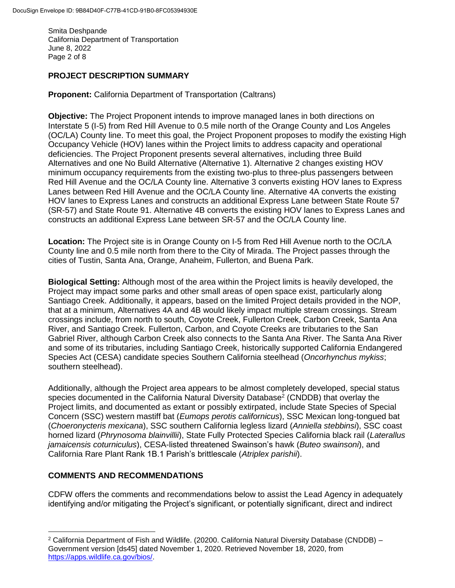Smita Deshpande California Department of Transportation June 8, 2022 Page 2 of 8

### **PROJECT DESCRIPTION SUMMARY**

**Proponent:** California Department of Transportation (Caltrans)

**Objective:** The Project Proponent intends to improve managed lanes in both directions on Interstate 5 (I-5) from Red Hill Avenue to 0.5 mile north of the Orange County and Los Angeles (OC/LA) County line. To meet this goal, the Project Proponent proposes to modify the existing High Occupancy Vehicle (HOV) lanes within the Project limits to address capacity and operational deficiencies. The Project Proponent presents several alternatives, including three Build Alternatives and one No Build Alternative (Alternative 1). Alternative 2 changes existing HOV minimum occupancy requirements from the existing two-plus to three-plus passengers between Red Hill Avenue and the OC/LA County line. Alternative 3 converts existing HOV lanes to Express Lanes between Red Hill Avenue and the OC/LA County line. Alternative 4A converts the existing HOV lanes to Express Lanes and constructs an additional Express Lane between State Route 57 (SR-57) and State Route 91. Alternative 4B converts the existing HOV lanes to Express Lanes and constructs an additional Express Lane between SR-57 and the OC/LA County line.

**Location:** The Project site is in Orange County on I-5 from Red Hill Avenue north to the OC/LA County line and 0.5 mile north from there to the City of Mirada. The Project passes through the cities of Tustin, Santa Ana, Orange, Anaheim, Fullerton, and Buena Park.

**Biological Setting:** Although most of the area within the Project limits is heavily developed, the Project may impact some parks and other small areas of open space exist, particularly along Santiago Creek. Additionally, it appears, based on the limited Project details provided in the NOP, that at a minimum, Alternatives 4A and 4B would likely impact multiple stream crossings. Stream crossings include, from north to south, Coyote Creek, Fullerton Creek, Carbon Creek, Santa Ana River, and Santiago Creek. Fullerton, Carbon, and Coyote Creeks are tributaries to the San Gabriel River, although Carbon Creek also connects to the Santa Ana River. The Santa Ana River and some of its tributaries, including Santiago Creek, historically supported California Endangered Species Act (CESA) candidate species Southern California steelhead (*Oncorhynchus mykiss*; southern steelhead).

Additionally, although the Project area appears to be almost completely developed, special status species documented in the California Natural Diversity Database<sup>2</sup> (CNDDB) that overlay the Project limits, and documented as extant or possibly extirpated, include State Species of Special Concern (SSC) western mastiff bat (*Eumops perotis californicus*), SSC Mexican long-tongued bat (*Choeronycteris mexicana*), SSC southern California legless lizard (*Anniella stebbinsi*), SSC coast horned lizard (*Phrynosoma blainvillii*), State Fully Protected Species California black rail (*Laterallus jamaicensis coturniculus*), CESA-listed threatened Swainson's hawk (*Buteo swainsoni*), and California Rare Plant Rank 1B.1 Parish's brittlescale (*Atriplex parishii*).

### **COMMENTS AND RECOMMENDATIONS**

l

CDFW offers the comments and recommendations below to assist the Lead Agency in adequately identifying and/or mitigating the Project's significant, or potentially significant, direct and indirect

 $2$  California Department of Fish and Wildlife. (20200. California Natural Diversity Database (CNDDB) – Government version [ds45] dated November 1, 2020. Retrieved November 18, 2020, from [https://apps.wildlife.ca.gov/bios/.](https://apps.wildlife.ca.gov/bios/)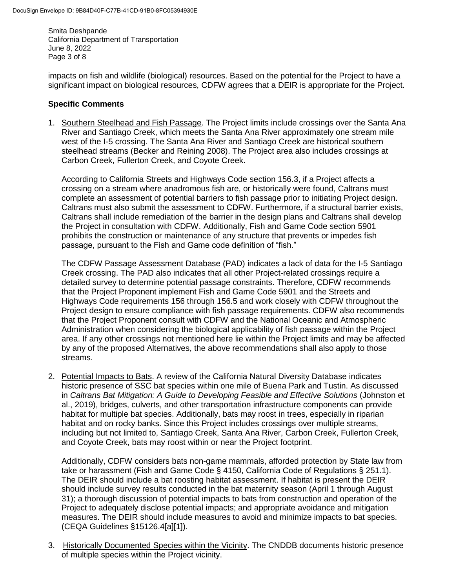Smita Deshpande California Department of Transportation June 8, 2022 Page 3 of 8

impacts on fish and wildlife (biological) resources. Based on the potential for the Project to have a significant impact on biological resources, CDFW agrees that a DEIR is appropriate for the Project.

#### **Specific Comments**

1. Southern Steelhead and Fish Passage. The Project limits include crossings over the Santa Ana River and Santiago Creek, which meets the Santa Ana River approximately one stream mile west of the I-5 crossing. The Santa Ana River and Santiago Creek are historical southern steelhead streams (Becker and Reining 2008). The Project area also includes crossings at Carbon Creek, Fullerton Creek, and Coyote Creek.

According to California Streets and Highways Code section 156.3, if a Project affects a crossing on a stream where anadromous fish are, or historically were found, Caltrans must complete an assessment of potential barriers to fish passage prior to initiating Project design. Caltrans must also submit the assessment to CDFW. Furthermore, if a structural barrier exists, Caltrans shall include remediation of the barrier in the design plans and Caltrans shall develop the Project in consultation with CDFW. Additionally, Fish and Game Code section 5901 prohibits the construction or maintenance of any structure that prevents or impedes fish passage, pursuant to the Fish and Game code definition of "fish."

The CDFW Passage Assessment Database (PAD) indicates a lack of data for the I-5 Santiago Creek crossing. The PAD also indicates that all other Project-related crossings require a detailed survey to determine potential passage constraints. Therefore, CDFW recommends that the Project Proponent implement Fish and Game Code 5901 and the Streets and Highways Code requirements 156 through 156.5 and work closely with CDFW throughout the Project design to ensure compliance with fish passage requirements. CDFW also recommends that the Project Proponent consult with CDFW and the National Oceanic and Atmospheric Administration when considering the biological applicability of fish passage within the Project area. If any other crossings not mentioned here lie within the Project limits and may be affected by any of the proposed Alternatives, the above recommendations shall also apply to those streams.

2. Potential Impacts to Bats. A review of the California Natural Diversity Database indicates historic presence of SSC bat species within one mile of Buena Park and Tustin. As discussed in *Caltrans Bat Mitigation: A Guide to Developing Feasible and Effective Solutions* (Johnston et al., 2019), bridges, culverts, and other transportation infrastructure components can provide habitat for multiple bat species. Additionally, bats may roost in trees, especially in riparian habitat and on rocky banks. Since this Project includes crossings over multiple streams, including but not limited to, Santiago Creek, Santa Ana River, Carbon Creek, Fullerton Creek, and Coyote Creek, bats may roost within or near the Project footprint.

Additionally, CDFW considers bats non-game mammals, afforded protection by State law from take or harassment (Fish and Game Code § 4150, California Code of Regulations § 251.1). The DEIR should include a bat roosting habitat assessment. If habitat is present the DEIR should include survey results conducted in the bat maternity season (April 1 through August 31); a thorough discussion of potential impacts to bats from construction and operation of the Project to adequately disclose potential impacts; and appropriate avoidance and mitigation measures. The DEIR should include measures to avoid and minimize impacts to bat species. (CEQA Guidelines §15126.4[a][1]).

3. Historically Documented Species within the Vicinity. The CNDDB documents historic presence of multiple species within the Project vicinity.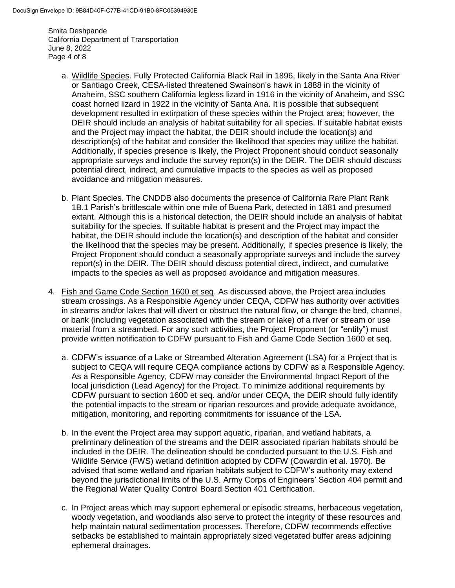Smita Deshpande California Department of Transportation June 8, 2022 Page 4 of 8

- a. Wildlife Species. Fully Protected California Black Rail in 1896, likely in the Santa Ana River or Santiago Creek, CESA-listed threatened Swainson's hawk in 1888 in the vicinity of Anaheim, SSC southern California legless lizard in 1916 in the vicinity of Anaheim, and SSC coast horned lizard in 1922 in the vicinity of Santa Ana. It is possible that subsequent development resulted in extirpation of these species within the Project area; however, the DEIR should include an analysis of habitat suitability for all species. If suitable habitat exists and the Project may impact the habitat, the DEIR should include the location(s) and description(s) of the habitat and consider the likelihood that species may utilize the habitat. Additionally, if species presence is likely, the Project Proponent should conduct seasonally appropriate surveys and include the survey report(s) in the DEIR. The DEIR should discuss potential direct, indirect, and cumulative impacts to the species as well as proposed avoidance and mitigation measures.
- b. Plant Species. The CNDDB also documents the presence of California Rare Plant Rank 1B.1 Parish's brittlescale within one mile of Buena Park, detected in 1881 and presumed extant. Although this is a historical detection, the DEIR should include an analysis of habitat suitability for the species. If suitable habitat is present and the Project may impact the habitat, the DEIR should include the location(s) and description of the habitat and consider the likelihood that the species may be present. Additionally, if species presence is likely, the Project Proponent should conduct a seasonally appropriate surveys and include the survey report(s) in the DEIR. The DEIR should discuss potential direct, indirect, and cumulative impacts to the species as well as proposed avoidance and mitigation measures.
- 4. Fish and Game Code Section 1600 et seq. As discussed above, the Project area includes stream crossings. As a Responsible Agency under CEQA, CDFW has authority over activities in streams and/or lakes that will divert or obstruct the natural flow, or change the bed, channel, or bank (including vegetation associated with the stream or lake) of a river or stream or use material from a streambed. For any such activities, the Project Proponent (or "entity") must provide written notification to CDFW pursuant to Fish and Game Code Section 1600 et seq.
	- a. CDFW's issuance of a Lake or Streambed Alteration Agreement (LSA) for a Project that is subject to CEQA will require CEQA compliance actions by CDFW as a Responsible Agency. As a Responsible Agency, CDFW may consider the Environmental Impact Report of the local jurisdiction (Lead Agency) for the Project. To minimize additional requirements by CDFW pursuant to section 1600 et seq. and/or under CEQA, the DEIR should fully identify the potential impacts to the stream or riparian resources and provide adequate avoidance, mitigation, monitoring, and reporting commitments for issuance of the LSA.
	- b. In the event the Project area may support aquatic, riparian, and wetland habitats, a preliminary delineation of the streams and the DEIR associated riparian habitats should be included in the DEIR. The delineation should be conducted pursuant to the U.S. Fish and Wildlife Service (FWS) wetland definition adopted by CDFW (Cowardin et al. 1970). Be advised that some wetland and riparian habitats subject to CDFW's authority may extend beyond the jurisdictional limits of the U.S. Army Corps of Engineers' Section 404 permit and the Regional Water Quality Control Board Section 401 Certification.
	- c. In Project areas which may support ephemeral or episodic streams, herbaceous vegetation, woody vegetation, and woodlands also serve to protect the integrity of these resources and help maintain natural sedimentation processes. Therefore, CDFW recommends effective setbacks be established to maintain appropriately sized vegetated buffer areas adjoining ephemeral drainages.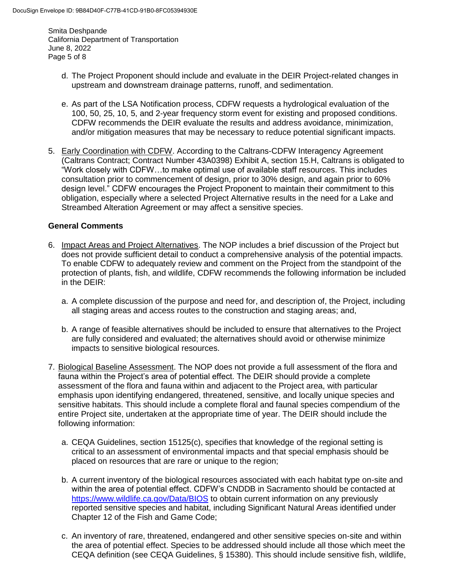Smita Deshpande California Department of Transportation June 8, 2022 Page 5 of 8

- d. The Project Proponent should include and evaluate in the DEIR Project-related changes in upstream and downstream drainage patterns, runoff, and sedimentation.
- e. As part of the LSA Notification process, CDFW requests a hydrological evaluation of the 100, 50, 25, 10, 5, and 2-year frequency storm event for existing and proposed conditions. CDFW recommends the DEIR evaluate the results and address avoidance, minimization, and/or mitigation measures that may be necessary to reduce potential significant impacts.
- 5. Early Coordination with CDFW. According to the Caltrans-CDFW Interagency Agreement (Caltrans Contract; Contract Number 43A0398) Exhibit A, section 15.H, Caltrans is obligated to "Work closely with CDFW…to make optimal use of available staff resources. This includes consultation prior to commencement of design, prior to 30% design, and again prior to 60% design level." CDFW encourages the Project Proponent to maintain their commitment to this obligation, especially where a selected Project Alternative results in the need for a Lake and Streambed Alteration Agreement or may affect a sensitive species.

### **General Comments**

- 6. Impact Areas and Project Alternatives. The NOP includes a brief discussion of the Project but does not provide sufficient detail to conduct a comprehensive analysis of the potential impacts. To enable CDFW to adequately review and comment on the Project from the standpoint of the protection of plants, fish, and wildlife, CDFW recommends the following information be included in the DEIR:
	- a. A complete discussion of the purpose and need for, and description of, the Project, including all staging areas and access routes to the construction and staging areas; and,
	- b. A range of feasible alternatives should be included to ensure that alternatives to the Project are fully considered and evaluated; the alternatives should avoid or otherwise minimize impacts to sensitive biological resources.
- 7. Biological Baseline Assessment. The NOP does not provide a full assessment of the flora and fauna within the Project's area of potential effect. The DEIR should provide a complete assessment of the flora and fauna within and adjacent to the Project area, with particular emphasis upon identifying endangered, threatened, sensitive, and locally unique species and sensitive habitats. This should include a complete floral and faunal species compendium of the entire Project site, undertaken at the appropriate time of year. The DEIR should include the following information:
	- a. CEQA Guidelines, section 15125(c), specifies that knowledge of the regional setting is critical to an assessment of environmental impacts and that special emphasis should be placed on resources that are rare or unique to the region;
	- b. A current inventory of the biological resources associated with each habitat type on-site and within the area of potential effect. CDFW's CNDDB in Sacramento should be contacted at <https://www.wildlife.ca.gov/Data/BIOS> to obtain current information on any previously reported sensitive species and habitat, including Significant Natural Areas identified under Chapter 12 of the Fish and Game Code;
	- c. An inventory of rare, threatened, endangered and other sensitive species on-site and within the area of potential effect. Species to be addressed should include all those which meet the CEQA definition (see CEQA Guidelines, § 15380). This should include sensitive fish, wildlife,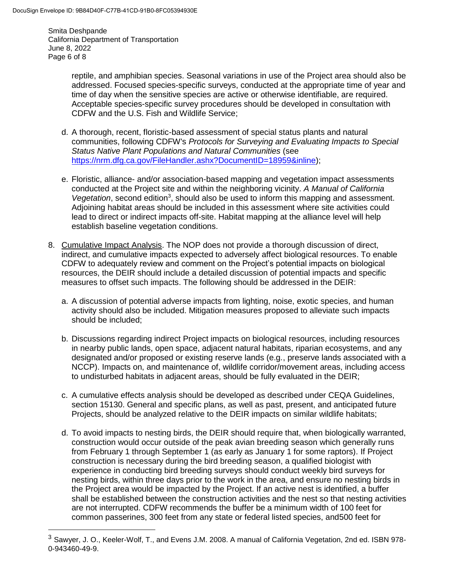$\overline{a}$ 

Smita Deshpande California Department of Transportation June 8, 2022 Page 6 of 8

> reptile, and amphibian species. Seasonal variations in use of the Project area should also be addressed. Focused species-specific surveys, conducted at the appropriate time of year and time of day when the sensitive species are active or otherwise identifiable, are required. Acceptable species-specific survey procedures should be developed in consultation with CDFW and the U.S. Fish and Wildlife Service;

- d. A thorough, recent, floristic-based assessment of special status plants and natural communities, following CDFW's *Protocols for Surveying and Evaluating Impacts to Special Status Native Plant Populations and Natural Communities* (see [https://nrm.dfg.ca.gov/FileHandler.ashx?DocumentID=18959&inline\)](https://nrm.dfg.ca.gov/FileHandler.ashx?DocumentID=18959&inline);
- e. Floristic, alliance- and/or association-based mapping and vegetation impact assessments conducted at the Project site and within the neighboring vicinity. *A Manual of California*  Vegetation, second edition<sup>3</sup>, should also be used to inform this mapping and assessment. Adjoining habitat areas should be included in this assessment where site activities could lead to direct or indirect impacts off-site. Habitat mapping at the alliance level will help establish baseline vegetation conditions.
- 8. Cumulative Impact Analysis. The NOP does not provide a thorough discussion of direct, indirect, and cumulative impacts expected to adversely affect biological resources. To enable CDFW to adequately review and comment on the Project's potential impacts on biological resources, the DEIR should include a detailed discussion of potential impacts and specific measures to offset such impacts. The following should be addressed in the DEIR:
	- a. A discussion of potential adverse impacts from lighting, noise, exotic species, and human activity should also be included. Mitigation measures proposed to alleviate such impacts should be included;
	- b. Discussions regarding indirect Project impacts on biological resources, including resources in nearby public lands, open space, adjacent natural habitats, riparian ecosystems, and any designated and/or proposed or existing reserve lands (e.g*.*, preserve lands associated with a NCCP). Impacts on, and maintenance of, wildlife corridor/movement areas, including access to undisturbed habitats in adjacent areas, should be fully evaluated in the DEIR;
	- c. A cumulative effects analysis should be developed as described under CEQA Guidelines, section 15130. General and specific plans, as well as past, present, and anticipated future Projects, should be analyzed relative to the DEIR impacts on similar wildlife habitats;
	- d. To avoid impacts to nesting birds, the DEIR should require that, when biologically warranted, construction would occur outside of the peak avian breeding season which generally runs from February 1 through September 1 (as early as January 1 for some raptors). If Project construction is necessary during the bird breeding season, a qualified biologist with experience in conducting bird breeding surveys should conduct weekly bird surveys for nesting birds, within three days prior to the work in the area, and ensure no nesting birds in the Project area would be impacted by the Project. If an active nest is identified, a buffer shall be established between the construction activities and the nest so that nesting activities are not interrupted. CDFW recommends the buffer be a minimum width of 100 feet for common passerines, 300 feet from any state or federal listed species, and500 feet for

 $^3$  Sawyer, J. O., Keeler-Wolf, T., and Evens J.M. 2008. A manual of California Vegetation, 2nd ed. ISBN 978-0-943460-49-9.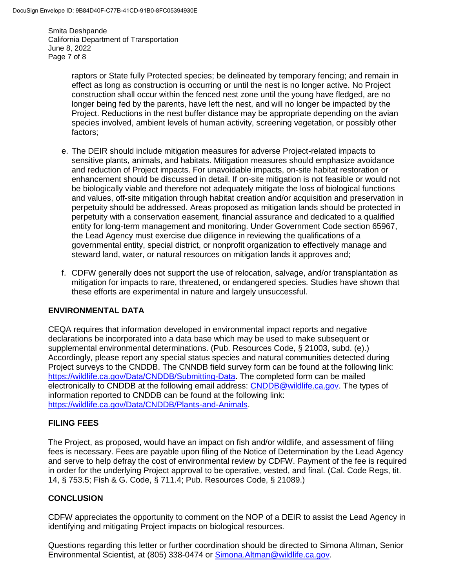Smita Deshpande California Department of Transportation June 8, 2022 Page 7 of 8

> raptors or State fully Protected species; be delineated by temporary fencing; and remain in effect as long as construction is occurring or until the nest is no longer active. No Project construction shall occur within the fenced nest zone until the young have fledged, are no longer being fed by the parents, have left the nest, and will no longer be impacted by the Project. Reductions in the nest buffer distance may be appropriate depending on the avian species involved, ambient levels of human activity, screening vegetation, or possibly other factors;

- e. The DEIR should include mitigation measures for adverse Project-related impacts to sensitive plants, animals, and habitats. Mitigation measures should emphasize avoidance and reduction of Project impacts. For unavoidable impacts, on-site habitat restoration or enhancement should be discussed in detail. If on-site mitigation is not feasible or would not be biologically viable and therefore not adequately mitigate the loss of biological functions and values, off-site mitigation through habitat creation and/or acquisition and preservation in perpetuity should be addressed. Areas proposed as mitigation lands should be protected in perpetuity with a conservation easement, financial assurance and dedicated to a qualified entity for long-term management and monitoring. Under Government Code section 65967, the Lead Agency must exercise due diligence in reviewing the qualifications of a governmental entity, special district, or nonprofit organization to effectively manage and steward land, water, or natural resources on mitigation lands it approves and;
- f. CDFW generally does not support the use of relocation, salvage, and/or transplantation as mitigation for impacts to rare, threatened, or endangered species. Studies have shown that these efforts are experimental in nature and largely unsuccessful.

# **ENVIRONMENTAL DATA**

CEQA requires that information developed in environmental impact reports and negative declarations be incorporated into a data base which may be used to make subsequent or supplemental environmental determinations. (Pub. Resources Code, § 21003, subd. (e).) Accordingly, please report any special status species and natural communities detected during Project surveys to the CNDDB. The CNNDB field survey form can be found at the following link: [https://wildlife.ca.gov/Data/CNDDB/Submitting-Data.](https://wildlife.ca.gov/Data/CNDDB/Submitting-Data) The completed form can be mailed electronically to CNDDB at the following email address: [CNDDB@wildlife.ca.gov.](mailto:cnddb@dfg.ca.gov) The types of information reported to CNDDB can be found at the following link: [https://wildlife.ca.gov/Data/CNDDB/Plants-and-Animals.](https://wildlife.ca.gov/Data/CNDDB/Plants-and-Animals)

# **FILING FEES**

The Project, as proposed, would have an impact on fish and/or wildlife, and assessment of filing fees is necessary. Fees are payable upon filing of the Notice of Determination by the Lead Agency and serve to help defray the cost of environmental review by CDFW. Payment of the fee is required in order for the underlying Project approval to be operative, vested, and final. (Cal. Code Regs, tit. 14, § 753.5; Fish & G. Code, § 711.4; Pub. Resources Code, § 21089.)

# **CONCLUSION**

CDFW appreciates the opportunity to comment on the NOP of a DEIR to assist the Lead Agency in identifying and mitigating Project impacts on biological resources.

Questions regarding this letter or further coordination should be directed to Simona Altman, Senior Environmental Scientist, at (805) 338-0474 or [Simona.Altman@wildlife.ca.gov.](mailto:Simona.Altman@wildlife.ca.gov)